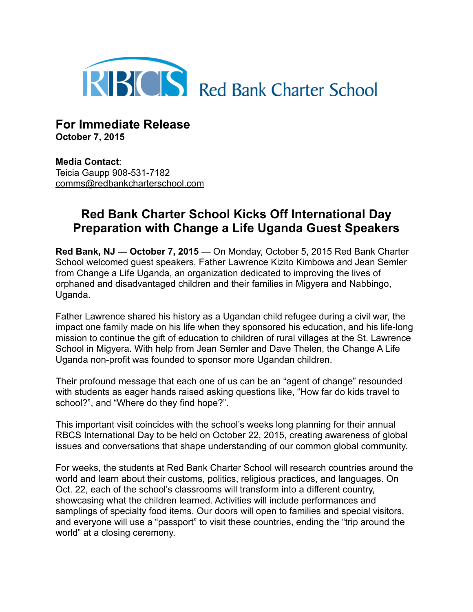

**For Immediate Release October 7, 2015**

**Media Contact**: Teicia Gaupp 908-531-7182 [comms@redbankcharterschool.com](mailto:comms@redbankcharterschool.com)

## **Red Bank Charter School Kicks Off International Day Preparation with Change a Life Uganda Guest Speakers**

**Red Bank, NJ — October 7, 2015** — On Monday, October 5, 2015 Red Bank Charter School welcomed guest speakers, Father Lawrence Kizito Kimbowa and Jean Semler from Change a Life Uganda, an organization dedicated to improving the lives of orphaned and disadvantaged children and their families in Migyera and Nabbingo, Uganda.

Father Lawrence shared his history as a Ugandan child refugee during a civil war, the impact one family made on his life when they sponsored his education, and his life-long mission to continue the gift of education to children of rural villages at the St. Lawrence School in Migyera. With help from Jean Semler and Dave Thelen, the Change A Life Uganda non-profit was founded to sponsor more Ugandan children.

Their profound message that each one of us can be an "agent of change" resounded with students as eager hands raised asking questions like, "How far do kids travel to school?", and "Where do they find hope?".

This important visit coincides with the school's weeks long planning for their annual RBCS International Day to be held on October 22, 2015, creating awareness of global issues and conversations that shape understanding of our common global community.

For weeks, the students at Red Bank Charter School will research countries around the world and learn about their customs, politics, religious practices, and languages. On Oct. 22, each of the school's classrooms will transform into a different country, showcasing what the children learned. Activities will include performances and samplings of specialty food items. Our doors will open to families and special visitors, and everyone will use a "passport" to visit these countries, ending the "trip around the world" at a closing ceremony.